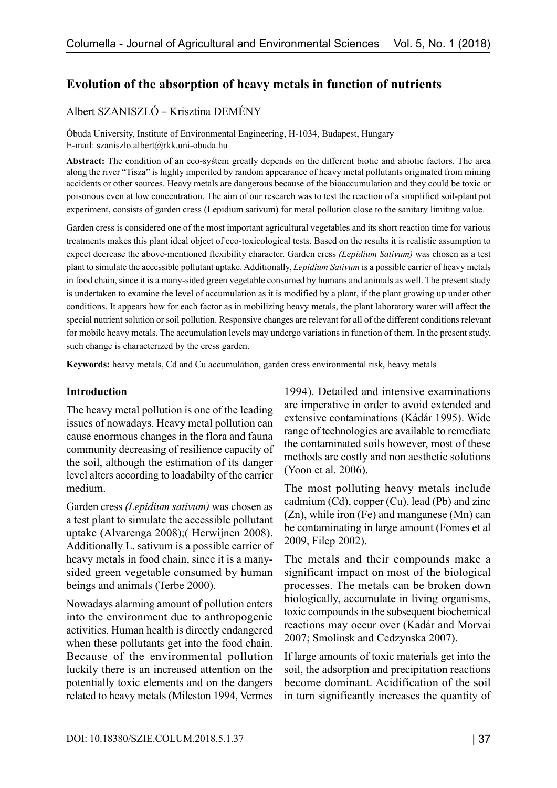# **Evolution of the absorption of heavy metals in function of nutrients**

# Albert SZANISZLÓ – Krisztina DEMÉNY

Óbuda University, Institute of Environmental Engineering, H-1034, Budapest, Hungary E-mail: szaniszlo.albert@rkk.uni-obuda.hu

**Abstract:** The condition of an eco-system greatly depends on the different biotic and abiotic factors. The area along the river "Tisza" is highly imperiled by random appearance of heavy metal pollutants originated from mining accidents or other sources. Heavy metals are dangerous because of the bioaccumulation and they could be toxic or poisonous even at low concentration. The aim of our research was to test the reaction of a simplified soil-plant pot experiment, consists of garden cress (Lepidium sativum) for metal pollution close to the sanitary limiting value.

Garden cress is considered one of the most important agricultural vegetables and its short reaction time for various treatments makes this plant ideal object of eco-toxicological tests. Based on the results it is realistic assumption to expect decrease the above-mentioned flexibility character. Garden cress *(Lepidium Sativum)* was chosen as a test plant to simulate the accessible pollutant uptake. Additionally, *Lepidium Sativum* is a possible carrier of heavy metals in food chain, since it is a many-sided green vegetable consumed by humans and animals as well. The present study is undertaken to examine the level of accumulation as it is modified by a plant, if the plant growing up under other conditions. It appears how for each factor as in mobilizing heavy metals, the plant laboratory water will affect the special nutrient solution or soil pollution. Responsive changes are relevant for all of the different conditions relevant for mobile heavy metals. The accumulation levels may undergo variations in function of them. In the present study, such change is characterized by the cress garden.

**Keywords:** heavy metals, Cd and Cu accumulation, garden cress environmental risk, heavy metals

### **Introduction**

The heavy metal pollution is one of the leading issues of nowadays. Heavy metal pollution can cause enormous changes in the flora and fauna community decreasing of resilience capacity of the soil, although the estimation of its danger level alters according to loadabilty of the carrier medium.

Garden cress *(Lepidium sativum)* was chosen as a test plant to simulate the accessible pollutant uptake (Alvarenga 2008);( Herwijnen 2008). Additionally L. sativum is a possible carrier of heavy metals in food chain, since it is a manysided green vegetable consumed by human beings and animals (Terbe 2000).

Nowadays alarming amount of pollution enters into the environment due to anthropogenic activities. Human health is directly endangered when these pollutants get into the food chain. Because of the environmental pollution luckily there is an increased attention on the potentially toxic elements and on the dangers related to heavy metals (Mileston 1994, Vermes

1994). Detailed and intensive examinations are imperative in order to avoid extended and extensive contaminations (Kádár 1995). Wide range of technologies are available to remediate the contaminated soils however, most of these methods are costly and non aesthetic solutions (Yoon et al. 2006).

The most polluting heavy metals include cadmium (Cd), copper (Cu), lead (Pb) and zinc (Zn), while iron (Fe) and manganese (Mn) can be contaminating in large amount (Fomes et al 2009, Filep 2002).

The metals and their compounds make a significant impact on most of the biological processes. The metals can be broken down biologically, accumulate in living organisms, toxic compounds in the subsequent biochemical reactions may occur over (Kadár and Morvai 2007; Smolinsk and Cedzynska 2007).

If large amounts of toxic materials get into the soil, the adsorption and precipitation reactions become dominant. Acidification of the soil in turn significantly increases the quantity of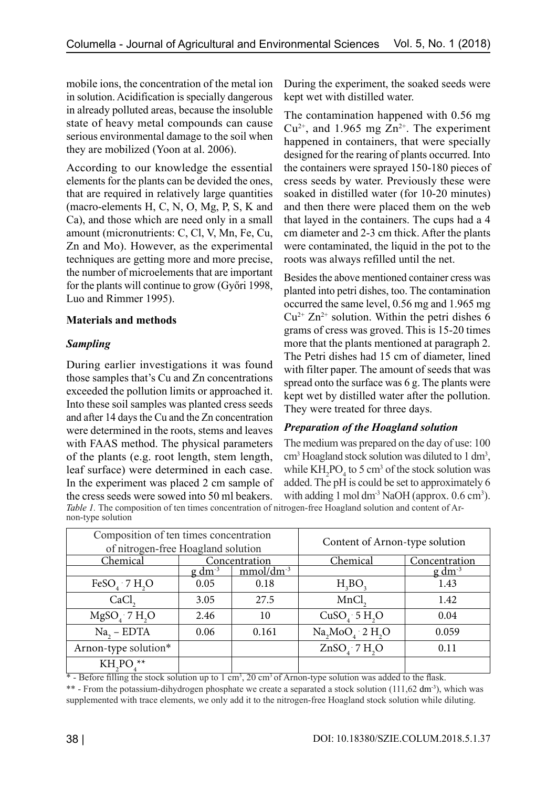mobile ions, the concentration of the metal ion in solution. Acidification is specially dangerous in already polluted areas, because the insoluble state of heavy metal compounds can cause serious environmental damage to the soil when they are mobilized (Yoon at al. 2006).

According to our knowledge the essential elements for the plants can be devided the ones, that are required in relatively large quantities (macro-elements H, C, N, O, Mg, P, S, K and Ca), and those which are need only in a small amount (micronutrients: C, Cl, V, Mn, Fe, Cu, Zn and Mo). However, as the experimental techniques are getting more and more precise, the number of microelements that are important for the plants will continue to grow (Győri 1998, Luo and Rimmer 1995).

# **Materials and methods**

# *Sampling*

During earlier investigations it was found those samples that's Cu and Zn concentrations exceeded the pollution limits or approached it. Into these soil samples was planted cress seeds and after 14 days the Cu and the Zn concentration were determined in the roots, stems and leaves with FAAS method. The physical parameters of the plants (e.g. root length, stem length, leaf surface) were determined in each case. In the experiment was placed 2 cm sample of the cress seeds were sowed into 50 ml beakers.

During the experiment, the soaked seeds were kept wet with distilled water.

The contamination happened with 0.56 mg  $Cu^{2+}$ , and 1.965 mg  $Zn^{2+}$ . The experiment happened in containers, that were specially designed for the rearing of plants occurred. Into the containers were sprayed 150-180 pieces of cress seeds by water. Previously these were soaked in distilled water (for 10-20 minutes) and then there were placed them on the web that layed in the containers. The cups had a 4 cm diameter and 2-3 cm thick. After the plants were contaminated, the liquid in the pot to the roots was always refilled until the net.

Besides the above mentioned container cress was planted into petri dishes, too. The contamination occurred the same level, 0.56 mg and 1.965 mg  $Cu^{2+} Zn^{2+}$  solution. Within the petri dishes 6 grams of cress was groved. This is 15-20 times more that the plants mentioned at paragraph 2. The Petri dishes had 15 cm of diameter, lined with filter paper. The amount of seeds that was spread onto the surface was 6 g. The plants were kept wet by distilled water after the pollution. They were treated for three days.

# *Preparation of the Hoagland solution*

The medium was prepared on the day of use: 100 cm<sup>3</sup> Hoagland stock solution was diluted to 1 dm<sup>3</sup>, while  $KH_2PO_4$  to 5 cm<sup>3</sup> of the stock solution was added. The pH is could be set to approximately 6 with adding  $1 \text{ mol } dm^3$  NaOH (approx.  $0.6 \text{ cm}^3$ ).

*Table 1*. The composition of ten times concentration of nitrogen-free Hoagland solution and content of Arnon-type solution

| Composition of ten times concentration<br>of nitrogen-free Hoagland solution |               |             | Content of Arnon-type solution |                |  |  |
|------------------------------------------------------------------------------|---------------|-------------|--------------------------------|----------------|--|--|
| Chemical                                                                     | Concentration |             | Chemical                       | Concentration  |  |  |
|                                                                              | $g dm^{-3}$   | $mmol/dm-3$ |                                | $g \, dm^{-3}$ |  |  |
| FeSO <sub>4</sub> $\cdot$ 7 H <sub>2</sub> O                                 | 0.05          | 0.18        | H <sub>3</sub> BO <sub>3</sub> | 1.43           |  |  |
| CaCl <sub>2</sub>                                                            | 3.05          | 27.5        | MnCl                           | 1.42           |  |  |
| MgSO, 7H, O                                                                  | 2.46          | 10          | $CuSO4$ : 5 H <sub>2</sub> O   | 0.04           |  |  |
| $Na2 - EDTA$                                                                 | 0.06          | 0.161       | $Na2MoO4·2 H2O$                | 0.059          |  |  |
| Arnon-type solution*                                                         |               |             | $ZnSO4$ 7 H <sub>2</sub> O     | 0.11           |  |  |
| KH <sub>2</sub> PO                                                           |               |             |                                |                |  |  |

\* - Before filling the stock solution up to 1 cm<sup>3</sup>, 20 cm<sup>3</sup> of Arnon-type solution was added to the flask. \*\* - From the potassium-dihydrogen phosphate we create a separated a stock solution (111,62 dm<sup>-3</sup>), which was supplemented with trace elements, we only add it to the nitrogen-free Hoagland stock solution while diluting.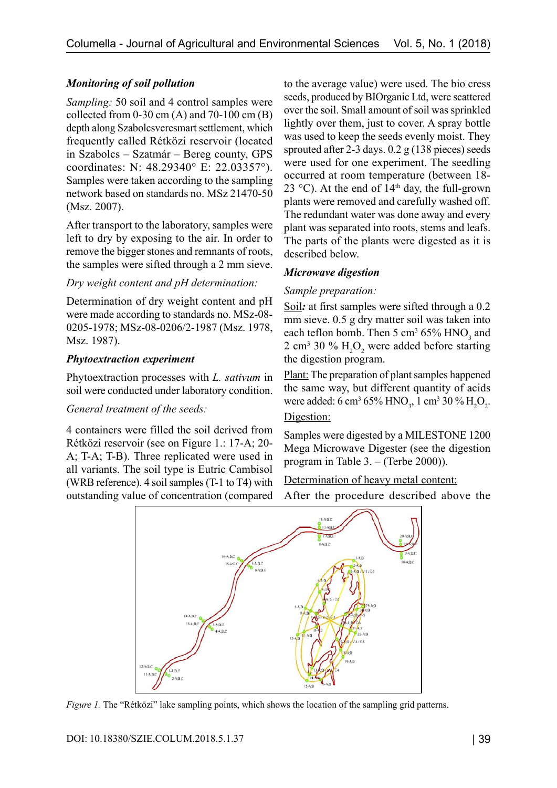# *Monitoring of soil pollution*

*Sampling:* 50 soil and 4 control samples were collected from  $0-30$  cm  $(A)$  and  $70-100$  cm  $(B)$ depth along Szabolcsveresmart settlement, which frequently called Rétközi reservoir (located in Szabolcs – Szatmár – Bereg county, GPS coordinates: N: 48.29340° E: 22.03357°). Samples were taken according to the sampling network based on standards no. MSz 21470-50 (Msz. 2007).

After transport to the laboratory, samples were left to dry by exposing to the air. In order to remove the bigger stones and remnants of roots, the samples were sifted through a 2 mm sieve.

## *Dry weight content and pH determination:*

Determination of dry weight content and pH were made according to standards no. MSz-08- 0205-1978; MSz-08-0206/2-1987 (Msz. 1978, Msz. 1987).

## *Phytoextraction experiment*

Phytoextraction processes with *L. sativum* in soil were conducted under laboratory condition.

#### *General treatment of the seeds:*

4 containers were filled the soil derived from Rétközi reservoir (see on Figure 1.: 17-A; 20- A; T-A; T-B). Three replicated were used in all variants. The soil type is Eutric Cambisol (WRB reference). 4 soil samples (T-1 to T4) with outstanding value of concentration (compared to the average value) were used. The bio cress seeds, produced by BIOrganic Ltd, were scattered over the soil. Small amount of soil was sprinkled lightly over them, just to cover. A spray bottle was used to keep the seeds evenly moist. They sprouted after 2-3 days. 0.2 g (138 pieces) seeds were used for one experiment. The seedling occurred at room temperature (between 18- 23 °C). At the end of  $14<sup>th</sup>$  day, the full-grown plants were removed and carefully washed off. The redundant water was done away and every plant was separated into roots, stems and leafs. The parts of the plants were digested as it is described below.

# *Microwave digestion*

## *Sample preparation:*

Soil*:* at first samples were sifted through a 0.2 mm sieve. 0.5 g dry matter soil was taken into each teflon bomb. Then  $5 \text{ cm}^3 65\%$  HNO<sub>3</sub> and 2 cm<sup>3</sup> 30 %  $H_2O_2$  were added before starting the digestion program.

Plant: The preparation of plant samples happened the same way, but different quantity of acids were added: 6 cm<sup>3</sup> 65% HNO<sub>3</sub>, 1 cm<sup>3</sup> 30 % H<sub>2</sub>O<sub>2</sub>. Digestion:

Samples were digested by a MILESTONE 1200 Mega Microwave Digester (see the digestion program in Table 3. – (Terbe 2000)).

# Determination of heavy metal content:

After the procedure described above the



*Figure 1.* The "Rétközi" lake sampling points, which shows the location of the sampling grid patterns.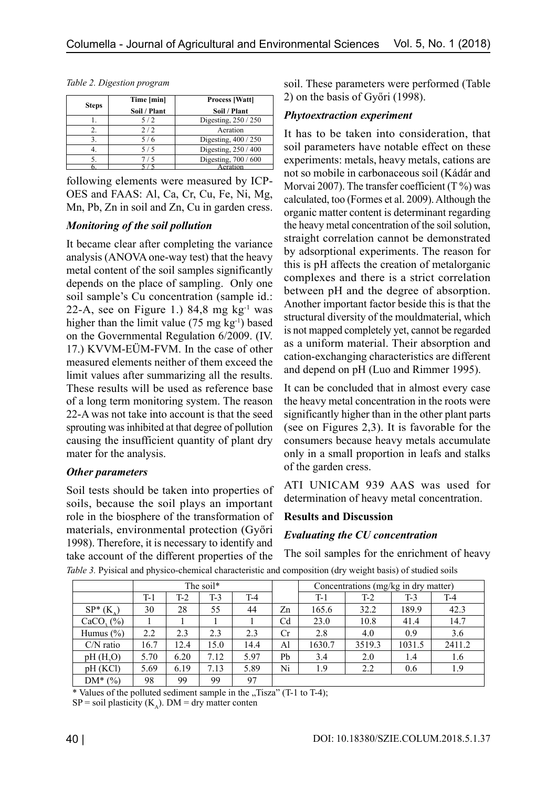|              | Time [min]   | <b>Process [Watt]</b> |  |  |  |
|--------------|--------------|-----------------------|--|--|--|
| <b>Steps</b> | Soil / Plant | Soil / Plant          |  |  |  |
|              | 5/2          | Digesting, 250 / 250  |  |  |  |
| 2.           | 2/2          | Aeration              |  |  |  |
| 3.           | 5/6          | Digesting, 400 / 250  |  |  |  |
| 4.           | 5/5          | Digesting, 250 / 400  |  |  |  |
|              | 7/5          | Digesting, 700 / 600  |  |  |  |
|              |              | ∆eration              |  |  |  |

*Table 2. Digestion program*

following elements were measured by ICP-OES and FAAS: Al, Ca, Cr, Cu, Fe, Ni, Mg, Mn, Pb, Zn in soil and Zn, Cu in garden cress.

#### *Monitoring of the soil pollution*

It became clear after completing the variance analysis (ANOVA one-way test) that the heavy metal content of the soil samples significantly depends on the place of sampling. Only one soil sample's Cu concentration (sample id.: 22-A, see on Figure 1.)  $84.8 \text{ mg kg}^{-1}$  was higher than the limit value  $(75 \text{ mg kg}^{-1})$  based on the Governmental Regulation 6/2009. (IV. 17.) KVVM-EÜM-FVM. In the case of other measured elements neither of them exceed the limit values after summarizing all the results. These results will be used as reference base of a long term monitoring system. The reason 22-A was not take into account is that the seed sprouting was inhibited at that degree of pollution causing the insufficient quantity of plant dry mater for the analysis.

# *Other parameters*

Soil tests should be taken into properties of soils, because the soil plays an important role in the biosphere of the transformation of materials, environmental protection (Győri 1998). Therefore, it is necessary to identify and take account of the different properties of the

soil. These parameters were performed (Table 2) on the basis of Győri (1998).

## *Phytoextraction experiment*

It has to be taken into consideration, that soil parameters have notable effect on these experiments: metals, heavy metals, cations are not so mobile in carbonaceous soil (Kádár and Morvai 2007). The transfer coefficient  $(T\%)$  was calculated, too (Formes et al. 2009). Although the organic matter content is determinant regarding the heavy metal concentration of the soil solution, straight correlation cannot be demonstrated by adsorptional experiments. The reason for this is pH affects the creation of metalorganic complexes and there is a strict correlation between pH and the degree of absorption. Another important factor beside this is that the structural diversity of the mouldmaterial, which is not mapped completely yet, cannot be regarded as a uniform material. Their absorption and cation-exchanging characteristics are different and depend on pH (Luo and Rimmer 1995).

It can be concluded that in almost every case the heavy metal concentration in the roots were significantly higher than in the other plant parts (see on Figures 2,3). It is favorable for the consumers because heavy metals accumulate only in a small proportion in leafs and stalks of the garden cress.

ATI UNICAM 939 AAS was used for determination of heavy metal concentration.

# **Results and Discussion**

# *Evaluating the CU concentration*

The soil samples for the enrichment of heavy

|  | Table 3. Pyisical and physico-chemical characteristic and composition (dry weight basis) of studied soils |  |  |
|--|-----------------------------------------------------------------------------------------------------------|--|--|
|  |                                                                                                           |  |  |
|  |                                                                                                           |  |  |

|                  | The soil* |       |       |       | Concentrations (mg/kg in dry matter) |        |        |        |        |
|------------------|-----------|-------|-------|-------|--------------------------------------|--------|--------|--------|--------|
|                  | $T-1$     | $T-2$ | $T-3$ | $T-4$ |                                      | $T-1$  | $T-2$  | $T-3$  | $T-4$  |
| $SP^*(K)$        | 30        | 28    | 55    | 44    | Zn                                   | 165.6  | 32.2   | 189.9  | 42.3   |
| $CaCO$ , $(\%$ ) |           |       |       |       | C <sub>d</sub>                       | 23.0   | 10.8   | 41.4   | 14.7   |
| Humus $(\% )$    | 2.2       | 2.3   | 2.3   | 2.3   | Cr                                   | 2.8    | 4.0    | 0.9    | 3.6    |
| $C/N$ ratio      | 16.7      | 12.4  | 15.0  | 14.4  | Al                                   | 1630.7 | 3519.3 | 1031.5 | 2411.2 |
| pH(H, O)         | 5.70      | 6.20  | 7.12  | 5.97  | Pb                                   | 3.4    | 2.0    | 1.4    | 1.6    |
| pH(KCl)          | 5.69      | 6.19  | 7.13  | 5.89  | Ni                                   | 1.9    | 2.2    | 0.6    | 1.9    |
| $DM^*(\%)$       | 98        | 99    | 99    | 97    |                                      |        |        |        |        |

\* Values of the polluted sediment sample in the  $\sqrt{1}$ Tisza" (T-1 to T-4);

 $SP = soil plasticity (K<sub>λ</sub>)$ . DM = dry matter conten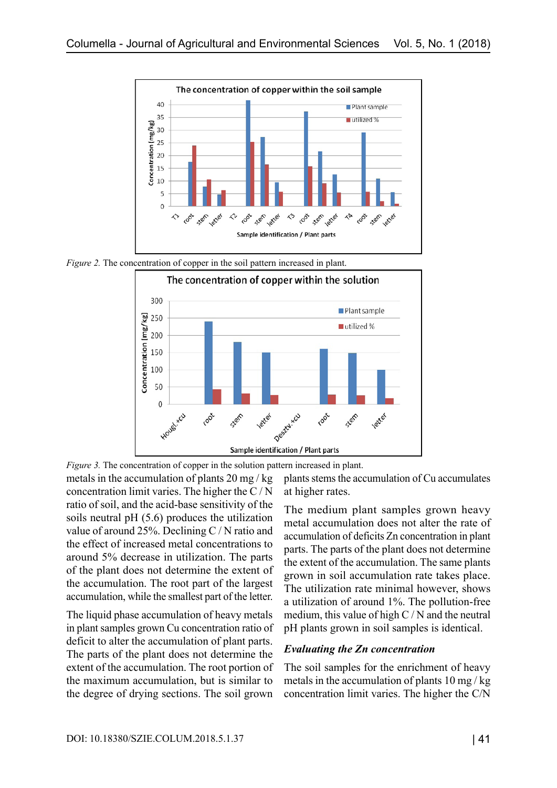

*Figure 2.* The concentration of copper in the soil pattern increased in plant.



*Figure 3.* The concentration of copper in the solution pattern increased in plant.

metals in the accumulation of plants 20 mg / kg concentration limit varies. The higher the C / N ratio of soil, and the acid-base sensitivity of the soils neutral pH (5.6) produces the utilization value of around 25%. Declining C / N ratio and the effect of increased metal concentrations to around 5% decrease in utilization. The parts of the plant does not determine the extent of the accumulation. The root part of the largest accumulation, while the smallest part of the letter.

The liquid phase accumulation of heavy metals in plant samples grown Cu concentration ratio of deficit to alter the accumulation of plant parts. The parts of the plant does not determine the extent of the accumulation. The root portion of the maximum accumulation, but is similar to the degree of drying sections. The soil grown

plants stems the accumulation of Cu accumulates at higher rates.

The medium plant samples grown heavy metal accumulation does not alter the rate of accumulation of deficits Zn concentration in plant parts. The parts of the plant does not determine the extent of the accumulation. The same plants grown in soil accumulation rate takes place. The utilization rate minimal however, shows a utilization of around 1%. The pollution-free medium, this value of high  $C/N$  and the neutral pH plants grown in soil samples is identical.

#### *Evaluating the Zn concentration*

The soil samples for the enrichment of heavy metals in the accumulation of plants 10 mg / kg concentration limit varies. The higher the C/N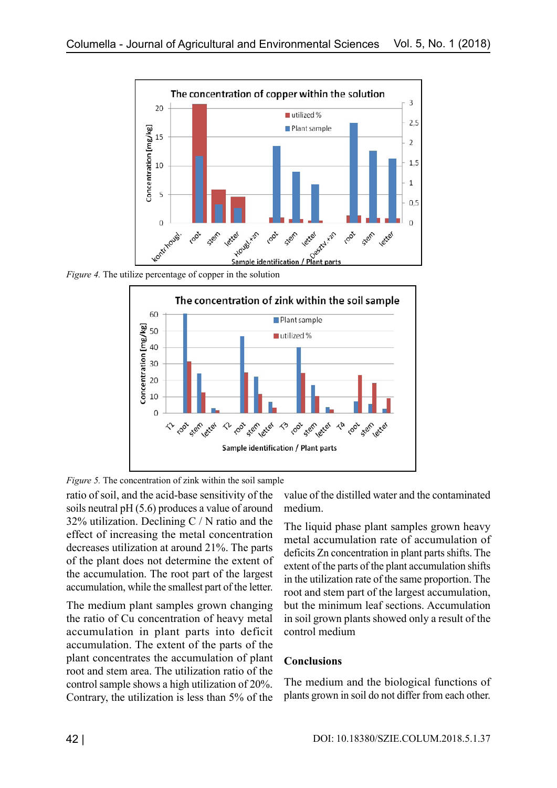

*Figure 4.* The utilize percentage of copper in the solution



*Figure 5.* The concentration of zink within the soil sample

ratio of soil, and the acid-base sensitivity of the soils neutral pH (5.6) produces a value of around 32% utilization. Declining  $C/N$  ratio and the effect of increasing the metal concentration decreases utilization at around 21%. The parts of the plant does not determine the extent of the accumulation. The root part of the largest accumulation, while the smallest part of the letter.

The medium plant samples grown changing the ratio of Cu concentration of heavy metal accumulation in plant parts into deficit accumulation. The extent of the parts of the plant concentrates the accumulation of plant root and stem area. The utilization ratio of the control sample shows a high utilization of 20%. Contrary, the utilization is less than 5% of the

value of the distilled water and the contaminated medium.

The liquid phase plant samples grown heavy metal accumulation rate of accumulation of deficits Zn concentration in plant parts shifts. The extent of the parts of the plant accumulation shifts in the utilization rate of the same proportion. The root and stem part of the largest accumulation, but the minimum leaf sections. Accumulation in soil grown plants showed only a result of the control medium

#### **Conclusions**

The medium and the biological functions of plants grown in soil do not differ from each other.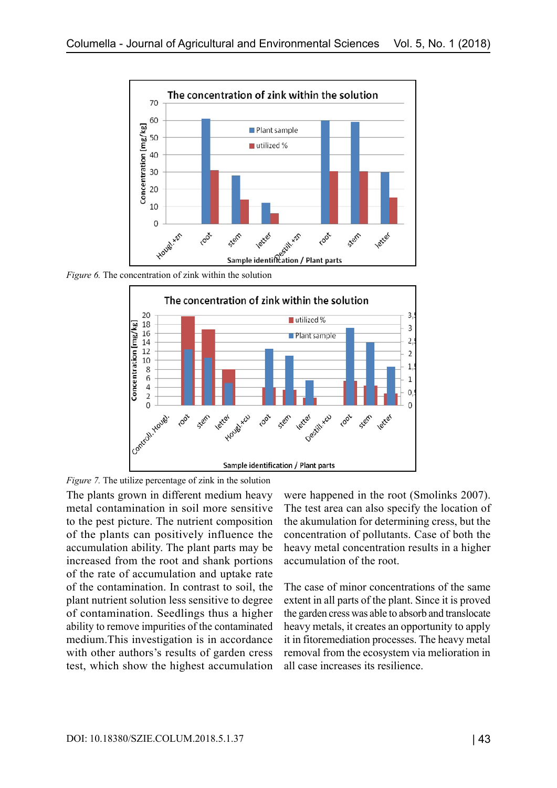

*Figure 6.* The concentration of zink within the solution

![](_page_6_Figure_3.jpeg)

*Figure 7.* The utilize percentage of zink in the solution

The plants grown in different medium heavy metal contamination in soil more sensitive to the pest picture. The nutrient composition of the plants can positively influence the accumulation ability. The plant parts may be increased from the root and shank portions of the rate of accumulation and uptake rate of the contamination. In contrast to soil, the plant nutrient solution less sensitive to degree of contamination. Seedlings thus a higher ability to remove impurities of the contaminated medium.This investigation is in accordance with other authors's results of garden cress test, which show the highest accumulation

were happened in the root (Smolinks 2007). The test area can also specify the location of the akumulation for determining cress, but the concentration of pollutants. Case of both the heavy metal concentration results in a higher accumulation of the root.

The case of minor concentrations of the same extent in all parts of the plant. Since it is proved the garden cress was able to absorb and translocate heavy metals, it creates an opportunity to apply it in fitoremediation processes. The heavy metal removal from the ecosystem via melioration in all case increases its resilience.